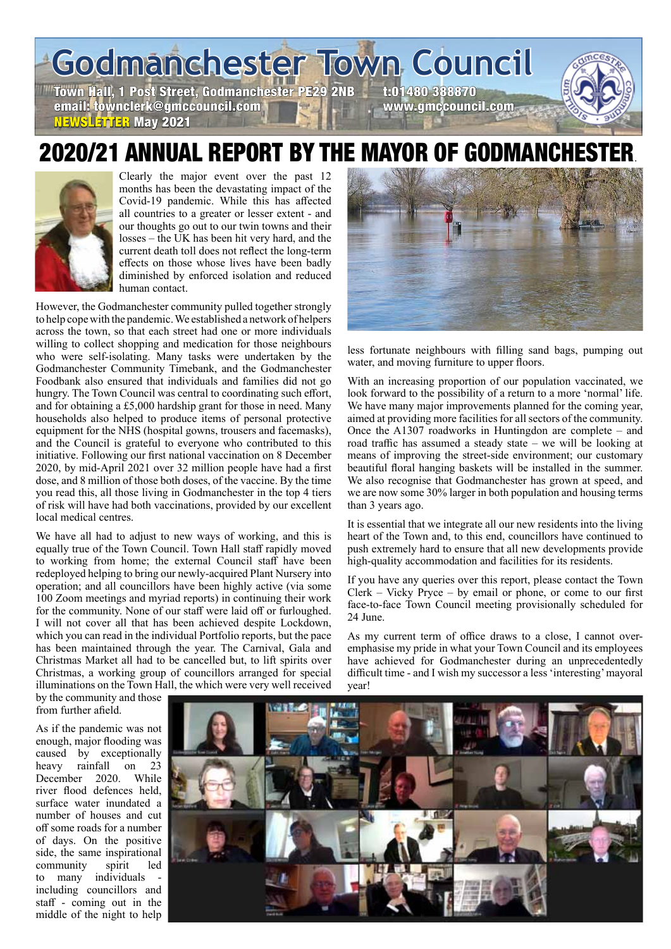**Godmanchester Town Council**

Town Hall, 1 Post Street, Godmanchester PE29 2NB t:01480 388870<br>email: townclerk@gmccouncil.com email: townclerk@gmccouncil.com NEWSLETTER May 2021

# 2020/21 ANNUAL REPORT BY THE MAYOR OF GODMANCHEST



Clearly the major event over the past 12 months has been the devastating impact of the Covid-19 pandemic. While this has affected all countries to a greater or lesser extent - and our thoughts go out to our twin towns and their losses – the UK has been hit very hard, and the current death toll does not reflect the long-term effects on those whose lives have been badly diminished by enforced isolation and reduced human contact.

However, the Godmanchester community pulled together strongly to help cope with the pandemic. We established a network of helpers across the town, so that each street had one or more individuals willing to collect shopping and medication for those neighbours who were self-isolating. Many tasks were undertaken by the Godmanchester Community Timebank, and the Godmanchester Foodbank also ensured that individuals and families did not go hungry. The Town Council was central to coordinating such effort, and for obtaining a £5,000 hardship grant for those in need. Many households also helped to produce items of personal protective equipment for the NHS (hospital gowns, trousers and facemasks), and the Council is grateful to everyone who contributed to this initiative. Following our first national vaccination on 8 December 2020, by mid-April 2021 over 32 million people have had a first dose, and 8 million of those both doses, of the vaccine. By the time you read this, all those living in Godmanchester in the top 4 tiers of risk will have had both vaccinations, provided by our excellent local medical centres.

We have all had to adjust to new ways of working, and this is equally true of the Town Council. Town Hall staff rapidly moved to working from home; the external Council staff have been redeployed helping to bring our newly-acquired Plant Nursery into operation; and all councillors have been highly active (via some 100 Zoom meetings and myriad reports) in continuing their work for the community. None of our staff were laid off or furloughed. I will not cover all that has been achieved despite Lockdown, which you can read in the individual Portfolio reports, but the pace has been maintained through the year. The Carnival, Gala and Christmas Market all had to be cancelled but, to lift spirits over Christmas, a working group of councillors arranged for special illuminations on the Town Hall, the which were very well received



less fortunate neighbours with filling sand bags, pumping out water, and moving furniture to upper floors.

With an increasing proportion of our population vaccinated, we look forward to the possibility of a return to a more 'normal' life. We have many major improvements planned for the coming year, aimed at providing more facilities for all sectors of the community. Once the A1307 roadworks in Huntingdon are complete – and road traffic has assumed a steady state – we will be looking at means of improving the street-side environment; our customary beautiful floral hanging baskets will be installed in the summer. We also recognise that Godmanchester has grown at speed, and we are now some 30% larger in both population and housing terms than 3 years ago.

It is essential that we integrate all our new residents into the living heart of the Town and, to this end, councillors have continued to push extremely hard to ensure that all new developments provide high-quality accommodation and facilities for its residents.

If you have any queries over this report, please contact the Town Clerk – Vicky Pryce – by email or phone, or come to our first face-to-face Town Council meeting provisionally scheduled for 24 June.

As my current term of office draws to a close, I cannot overemphasise my pride in what your Town Council and its employees have achieved for Godmanchester during an unprecedentedly difficult time - and I wish my successor a less 'interesting' mayoral year!

by the community and those from further afield.

As if the pandemic was not enough, major flooding was caused by exceptionally heavy rainfall on 23 December 2020. While river flood defences held, surface water inundated a number of houses and cut off some roads for a number of days. On the positive side, the same inspirational community spirit led to many individuals including councillors and staff - coming out in the middle of the night to help

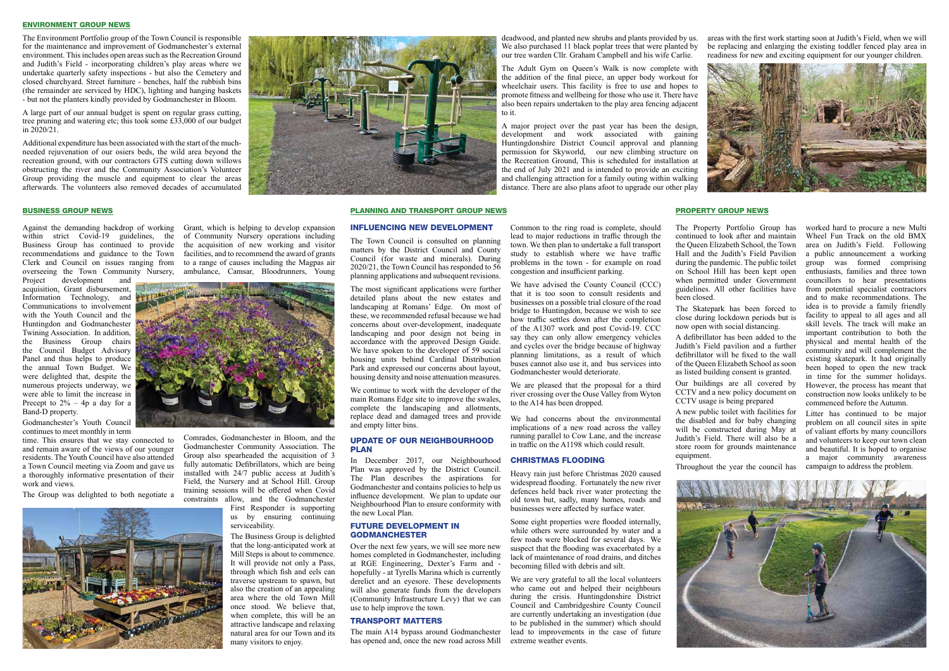The Property Portfolio Group has continued to look after and maintain the Queen Elizabeth School, the Town Hall and the Judith's Field Pavilion during the pandemic. The public toilet on School Hill has been kept open when permitted under Government guidelines. All other facilities have

been closed.

The Skatepark has been forced to close during lockdown periods but is now open with social distancing.

A defibrillator has been added to the Judith's Field pavilion and a further defibrillator will be fixed to the wall of the Queen Elizabeth School as soon as listed building consent is granted.

Our buildings are all covered by CCTV and a new policy document on CCTV usage is being prepared

A new public toilet with facilities for the disabled and for baby changing will be constructed during May at Judith's Field. There will also be a store room for grounds maintenance

equipment.







Throughout the year the council has

worked hard to procure a new Multi Wheel Fun Track on the old BMX area on Judith's Field. Following a public announcement a working group was formed comprising enthusiasts, families and three town councillors to hear presentations from potential specialist contractors and to make recommendations. The idea is to provide a family friendly facility to appeal to all ages and all skill levels. The track will make an important contribution to both the physical and mental health of the community and will complement the existing skatepark. It had originally been hoped to open the new track in time for the summer holidays. However, the process has meant that construction now looks unlikely to be commenced before the Autumn.

Litter has continued to be major problem on all council sites in spite of valiant efforts by many councillors and volunteers to keep our town clean and beautiful. It is hoped to organise a major community awareness campaign to address the problem.

### PROPERTY GROUP NEWS

A large part of our annual budget is spent on regular grass cutting, tree pruning and watering etc; this took some £33,000 of our budget in  $2020/21$ .

Project development and acquisition, Grant disbursement, Information Technology, and Communications to involvement with the Youth Council and the Huntingdon and Godmanchester Twining Association. In addition, the Business Group chairs the Council Budget Advisory Panel and thus helps to produce the annual Town Budget. We were delighted that, despite the numerous projects underway, we were able to limit the increase in Precept to  $2\%$  – 4p a day for a Band-D property.

Against the demanding backdrop of working Grant, which is helping to develop expansion within strict Covid-19 guidelines, the of Community Nursery operations including Business Group has continued to provide the acquisition of new working and visitor recommendations and guidance to the Town facilities, and to recommend the award of grants Clerk and Council on issues ranging from to a range of causes including the Magpas air



Godmanchester's Youth Council continues to meet monthly in term

overseeing the Town Community Nursery, ambulance, Camsar, Bloodrunners, Young

time. This ensures that we stay connected to and remain aware of the views of our younger residents. The Youth Council have also attended a Town Council meeting via Zoom and gave us a thoroughly informative presentation of their work and views.

The Group was delighted to both negotiate a

Comrades, Godmanchester in Bloom, and the Godmanchester Community Association. The Group also spearheaded the acquisition of 3 fully automatic Defibrillators, which are being installed with 24/7 public access at Judith's Field, the Nursery and at School Hill. Group training sessions will be offered when Covid constraints allow, and the Godmanchester

First Responder is supporting us by ensuring continuing serviceability.

The Business Group is delighted that the long-anticipated work at Mill Steps is about to commence. It will provide not only a Pass, through which fish and eels can traverse upstream to spawn, but also the creation of an appealing area where the old Town Mill once stood. We believe that, when complete, this will be an attractive landscape and relaxing natural area for our Town and its many visitors to enjoy.

#### BUSINESS GROUP NEWS

#### ENVIRONMENT GROUP NEWS

The Environment Portfolio group of the Town Council is responsible for the maintenance and improvement of Godmanchester's external environment. This includes open areas such as the Recreation Ground and Judith's Field - incorporating children's play areas where we undertake quarterly safety inspections - but also the Cemetery and closed churchyard. Street furniture - benches, half the rubbish bins (the remainder are serviced by HDC), lighting and hanging baskets - but not the planters kindly provided by Godmanchester in Bloom.

> has opened and, once the new road across Mill extreme weather events. We are very grateful to all the local volunteers who came out and helped their neighbours during the crisis. Huntingdonshire District Council and Cambridgeshire County Council are currently undertaking an investigation (due to be published in the summer) which should lead to improvements in the case of future

Additional expenditure has been associated with the start of the muchneeded rejuvenation of our osiers beds, the wild area beyond the recreation ground, with our contractors GTS cutting down willows obstructing the river and the Community Association's Volunteer Group providing the muscle and equipment to clear the areas afterwards. The volunteers also removed decades of accumulated

deadwood, and planted new shrubs and plants provided by us. We also purchased 11 black poplar trees that were planted by our tree warden Cllr. Graham Campbell and his wife Carlie.

The Adult Gym on Queen's Walk is now complete with the addition of the final piece, an upper body workout for wheelchair users. This facility is free to use and hopes to promote fitness and wellbeing for those who use it. There have also been repairs undertaken to the play area fencing adjacent to it.

A major project over the past year has been the design, development and work associated with gaining Huntingdonshire District Council approval and planning permission for Skyworld, our new climbing structure on the Recreation Ground, This is scheduled for installation at the end of July 2021 and is intended to provide an exciting and challenging attraction for a family outing within walking distance. There are also plans afoot to upgrade our other play

areas with the first work starting soon at Judith's Field, when we will be replacing and enlarging the existing toddler fenced play area in readiness for new and exciting equipment for our younger children.



PLANNING AND TRANSPORT GROUP NEWS

Influencing new development The Town Council is consulted on planning matters by the District Council and County Council (for waste and minerals). During 2020/21, the Town Council has responded to 56 planning applications and subsequent revisions. The most significant applications were further detailed plans about the new estates and landscaping at Romans' Edge. On most of these, we recommended refusal because we had concerns about over-development, inadequate landscaping and poor design not being in accordance with the approved Design Guide. We have spoken to the developer of 59 social housing units behind Cardinal Distribution Park and expressed our concerns about layout, housing density and noise attenuation measures. We continue to work with the developer of the main Romans Edge site to improve the swales, complete the landscaping and allotments, replace dead and damaged trees and provide

and empty litter bins.

Update of our Neighbourhood

In December 2017, our Neighbourhood Plan was approved by the District Council. The Plan describes the aspirations for Godmanchester and contains policies to help us influence development. We plan to update our Neighbourhood Plan to ensure conformity with

the new Local Plan.

**GODMANCHESTER** 

Future Development in

**PLAN** 

Over the next few years, we will see more new homes completed in Godmanchester, including at RGE Engineering, Dexter's Farm and hopefully - at Tyrells Marina which is currently derelict and an eyesore. These developments will also generate funds from the developers (Community Infrastructure Levy) that we can

use to help improve the town. Transport Matters

The main A14 bypass around Godmanchester

Common to the ring road is complete, should lead to major reductions in traffic through the town. We then plan to undertake a full transport study to establish where we have traffic problems in the town - for example on road congestion and insufficient parking.

We have advised the County Council (CCC) that it is too soon to consult residents and businesses on a possible trial closure of the road bridge to Huntingdon, because we wish to see how traffic settles down after the completion of the A1307 work and post Covid-19. CCC say they can only allow emergency vehicles and cycles over the bridge because of highway planning limitations, as a result of which buses cannot also use it, and bus services into Godmanchester would deteriorate.

We are pleased that the proposal for a third river crossing over the Ouse Valley from Wyton to the A14 has been dropped.

We had concerns about the environmental implications of a new road across the valley running parallel to Cow Lane, and the increase in traffic on the A1198 which could result.

#### Christmas Flooding

Heavy rain just before Christmas 2020 caused widespread flooding. Fortunately the new river defences held back river water protecting the old town but, sadly, many homes, roads and businesses were affected by surface water.

Some eight properties were flooded internally, while others were surrounded by water and a few roads were blocked for several days. We suspect that the flooding was exacerbated by a lack of maintenance of road drains, and ditches becoming filled with debris and silt.